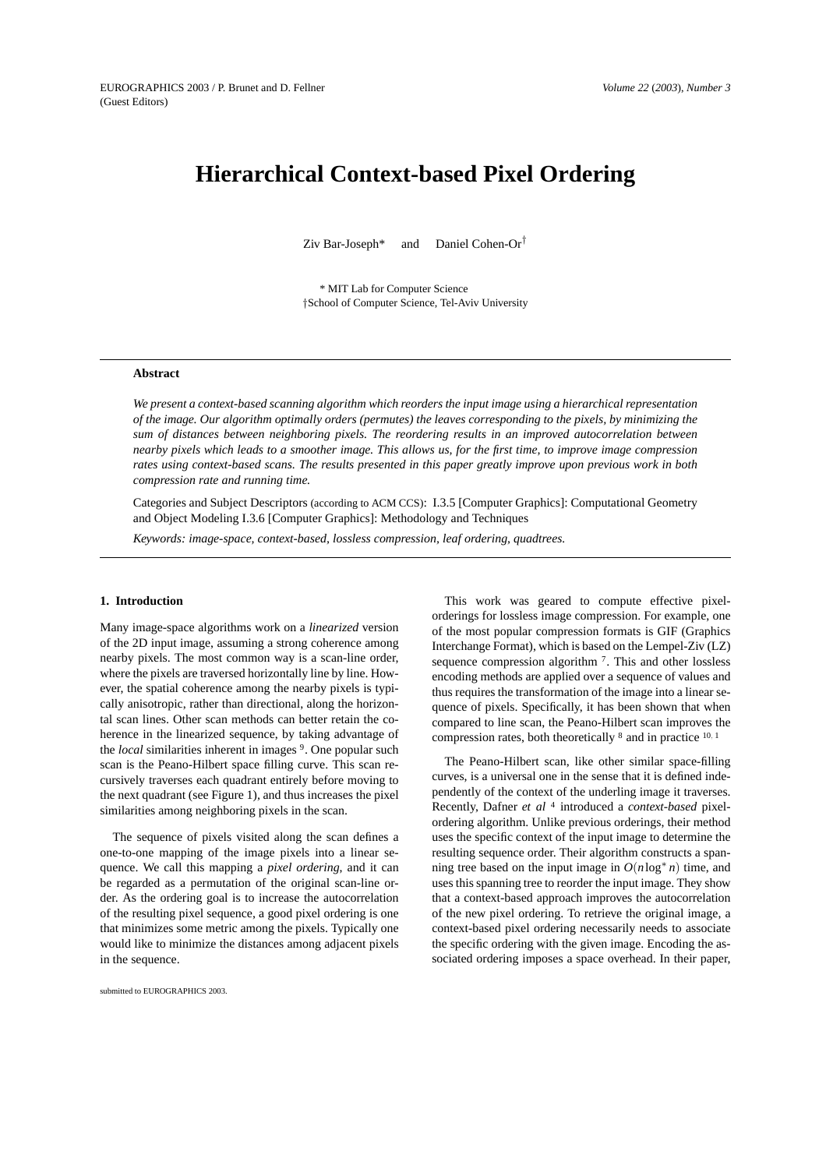# **Hierarchical Context-based Pixel Ordering**

Ziv Bar-Joseph<sup>\*</sup> and Daniel Cohen-Or<sup>†</sup>

\* MIT Lab for Computer Science *†*School of Computer Science, Tel-Aviv University

# **Abstract**

*We present a context-based scanning algorithm which reorders the input image using a hierarchical representation of the image. Our algorithm optimally orders (permutes) the leaves corresponding to the pixels, by minimizing the sum of distances between neighboring pixels. The reordering results in an improved autocorrelation between nearby pixels which leads to a smoother image. This allows us, for the first time, to improve image compression rates using context-based scans. The results presented in this paper greatly improve upon previous work in both compression rate and running time.*

Categories and Subject Descriptors (according to ACM CCS): I.3.5 [Computer Graphics]: Computational Geometry and Object Modeling I.3.6 [Computer Graphics]: Methodology and Techniques

*Keywords: image-space, context-based, lossless compression, leaf ordering, quadtrees.*

## **1. Introduction**

Many image-space algorithms work on a *linearized* version of the 2D input image, assuming a strong coherence among nearby pixels. The most common way is a scan-line order, where the pixels are traversed horizontally line by line. However, the spatial coherence among the nearby pixels is typically anisotropic, rather than directional, along the horizontal scan lines. Other scan methods can better retain the coherence in the linearized sequence, by taking advantage of the *local* similarities inherent in images <sup>9</sup>. One popular such scan is the Peano-Hilbert space filling curve. This scan recursively traverses each quadrant entirely before moving to the next quadrant (see Figure 1), and thus increases the pixel similarities among neighboring pixels in the scan.

The sequence of pixels visited along the scan defines a one-to-one mapping of the image pixels into a linear sequence. We call this mapping a *pixel ordering*, and it can be regarded as a permutation of the original scan-line order. As the ordering goal is to increase the autocorrelation of the resulting pixel sequence, a good pixel ordering is one that minimizes some metric among the pixels. Typically one would like to minimize the distances among adjacent pixels in the sequence.

This work was geared to compute effective pixelorderings for lossless image compression. For example, one of the most popular compression formats is GIF (Graphics Interchange Format), which is based on the Lempel-Ziv (LZ) sequence compression algorithm 7. This and other lossless encoding methods are applied over a sequence of values and thus requires the transformation of the image into a linear sequence of pixels. Specifically, it has been shown that when compared to line scan, the Peano-Hilbert scan improves the compression rates, both theoretically <sup>8</sup> and in practice <sup>10</sup>*,* <sup>1</sup>

The Peano-Hilbert scan, like other similar space-filling curves, is a universal one in the sense that it is defined independently of the context of the underling image it traverses. Recently, Dafner *et al* <sup>4</sup> introduced a *context-based* pixelordering algorithm. Unlike previous orderings, their method uses the specific context of the input image to determine the resulting sequence order. Their algorithm constructs a spanning tree based on the input image in  $O(n \log^* n)$  time, and uses this spanning tree to reorder the input image. They show that a context-based approach improves the autocorrelation of the new pixel ordering. To retrieve the original image, a context-based pixel ordering necessarily needs to associate the specific ordering with the given image. Encoding the associated ordering imposes a space overhead. In their paper,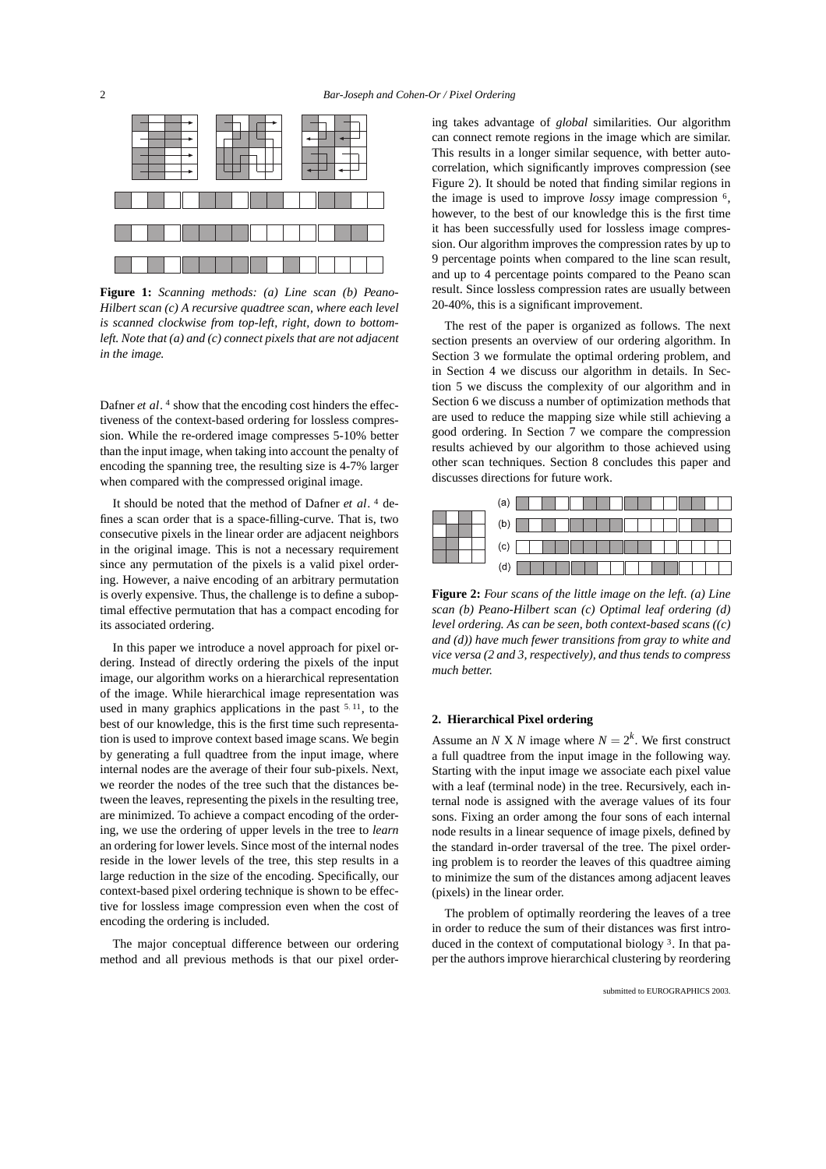

**Figure 1:** *Scanning methods: (a) Line scan (b) Peano-Hilbert scan (c) A recursive quadtree scan, where each level is scanned clockwise from top-left, right, down to bottomleft. Note that (a) and (c) connect pixels that are not adjacent in the image.*

Dafner *et al*.<sup>4</sup> show that the encoding cost hinders the effectiveness of the context-based ordering for lossless compression. While the re-ordered image compresses 5-10% better than the input image, when taking into account the penalty of encoding the spanning tree, the resulting size is 4-7% larger when compared with the compressed original image.

It should be noted that the method of Dafner *et al*. <sup>4</sup> defines a scan order that is a space-filling-curve. That is, two consecutive pixels in the linear order are adjacent neighbors in the original image. This is not a necessary requirement since any permutation of the pixels is a valid pixel ordering. However, a naive encoding of an arbitrary permutation is overly expensive. Thus, the challenge is to define a suboptimal effective permutation that has a compact encoding for its associated ordering.

In this paper we introduce a novel approach for pixel ordering. Instead of directly ordering the pixels of the input image, our algorithm works on a hierarchical representation of the image. While hierarchical image representation was used in many graphics applications in the past <sup>5</sup>*,* 11, to the best of our knowledge, this is the first time such representation is used to improve context based image scans. We begin by generating a full quadtree from the input image, where internal nodes are the average of their four sub-pixels. Next, we reorder the nodes of the tree such that the distances between the leaves, representing the pixels in the resulting tree, are minimized. To achieve a compact encoding of the ordering, we use the ordering of upper levels in the tree to *learn* an ordering for lower levels. Since most of the internal nodes reside in the lower levels of the tree, this step results in a large reduction in the size of the encoding. Specifically, our context-based pixel ordering technique is shown to be effective for lossless image compression even when the cost of encoding the ordering is included.

The major conceptual difference between our ordering method and all previous methods is that our pixel order-

ing takes advantage of *global* similarities. Our algorithm can connect remote regions in the image which are similar. This results in a longer similar sequence, with better autocorrelation, which significantly improves compression (see Figure 2). It should be noted that finding similar regions in the image is used to improve *lossy* image compression 6, however, to the best of our knowledge this is the first time it has been successfully used for lossless image compression. Our algorithm improves the compression rates by up to 9 percentage points when compared to the line scan result, and up to 4 percentage points compared to the Peano scan result. Since lossless compression rates are usually between 20-40%, this is a significant improvement.

The rest of the paper is organized as follows. The next section presents an overview of our ordering algorithm. In Section 3 we formulate the optimal ordering problem, and in Section 4 we discuss our algorithm in details. In Section 5 we discuss the complexity of our algorithm and in Section 6 we discuss a number of optimization methods that are used to reduce the mapping size while still achieving a good ordering. In Section 7 we compare the compression results achieved by our algorithm to those achieved using other scan techniques. Section 8 concludes this paper and discusses directions for future work.



**Figure 2:** *Four scans of the little image on the left. (a) Line scan (b) Peano-Hilbert scan (c) Optimal leaf ordering (d) level ordering. As can be seen, both context-based scans ((c) and (d)) have much fewer transitions from gray to white and vice versa (2 and 3, respectively), and thus tends to compress much better.*

#### **2. Hierarchical Pixel ordering**

Assume an *N* X *N* image where  $N = 2<sup>k</sup>$ . We first construct a full quadtree from the input image in the following way. Starting with the input image we associate each pixel value with a leaf (terminal node) in the tree. Recursively, each internal node is assigned with the average values of its four sons. Fixing an order among the four sons of each internal node results in a linear sequence of image pixels, defined by the standard in-order traversal of the tree. The pixel ordering problem is to reorder the leaves of this quadtree aiming to minimize the sum of the distances among adjacent leaves (pixels) in the linear order.

The problem of optimally reordering the leaves of a tree in order to reduce the sum of their distances was first introduced in the context of computational biology 3. In that paper the authors improve hierarchical clustering by reordering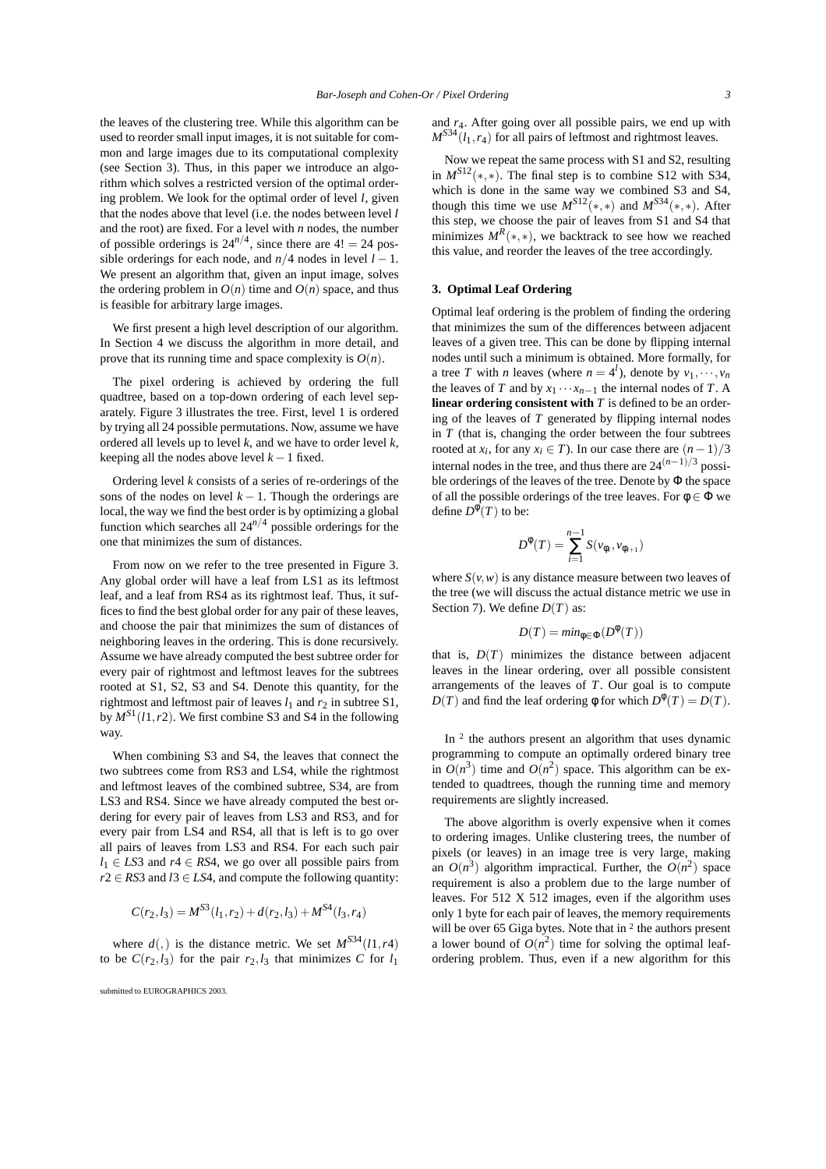the leaves of the clustering tree. While this algorithm can be used to reorder small input images, it is not suitable for common and large images due to its computational complexity (see Section 3). Thus, in this paper we introduce an algorithm which solves a restricted version of the optimal ordering problem. We look for the optimal order of level *l*, given that the nodes above that level (i.e. the nodes between level *l* and the root) are fixed. For a level with *n* nodes, the number of possible orderings is  $24^{n/4}$ , since there are  $4! = 24$  possible orderings for each node, and  $n/4$  nodes in level  $l - 1$ . We present an algorithm that, given an input image, solves the ordering problem in  $O(n)$  time and  $O(n)$  space, and thus is feasible for arbitrary large images.

We first present a high level description of our algorithm. In Section 4 we discuss the algorithm in more detail, and prove that its running time and space complexity is  $O(n)$ .

The pixel ordering is achieved by ordering the full quadtree, based on a top-down ordering of each level separately. Figure 3 illustrates the tree. First, level 1 is ordered by trying all 24 possible permutations. Now, assume we have ordered all levels up to level *k*, and we have to order level *k*, keeping all the nodes above level  $k-1$  fixed.

Ordering level *k* consists of a series of re-orderings of the sons of the nodes on level  $k - 1$ . Though the orderings are local, the way we find the best order is by optimizing a global function which searches all 24*n/*<sup>4</sup> possible orderings for the one that minimizes the sum of distances.

From now on we refer to the tree presented in Figure 3. Any global order will have a leaf from LS1 as its leftmost leaf, and a leaf from RS4 as its rightmost leaf. Thus, it suffices to find the best global order for any pair of these leaves, and choose the pair that minimizes the sum of distances of neighboring leaves in the ordering. This is done recursively. Assume we have already computed the best subtree order for every pair of rightmost and leftmost leaves for the subtrees rooted at S1, S2, S3 and S4. Denote this quantity, for the rightmost and leftmost pair of leaves  $l_1$  and  $r_2$  in subtree S1, by  $M^{S1}(l1, r2)$ . We first combine S3 and S4 in the following way.

When combining S3 and S4, the leaves that connect the two subtrees come from RS3 and LS4, while the rightmost and leftmost leaves of the combined subtree, S34, are from LS3 and RS4. Since we have already computed the best ordering for every pair of leaves from LS3 and RS3, and for every pair from LS4 and RS4, all that is left is to go over all pairs of leaves from LS3 and RS4. For each such pair  $l_1 \in LS3$  and  $r_1 \in RS4$ , we go over all possible pairs from  $r2 \in RS3$  and  $l3 \in LS4$ , and compute the following quantity:

$$
C(r_2, l_3) = M^{S3}(l_1, r_2) + d(r_2, l_3) + M^{S4}(l_3, r_4)
$$

where  $d($ ,) is the distance metric. We set  $M^{S34}(l1, r4)$ to be  $C(r_2, l_3)$  for the pair  $r_2, l_3$  that minimizes C for  $l_1$ 

submitted to EUROGRAPHICS 2003.

and *r*4. After going over all possible pairs, we end up with  $M^{S34}(l_1, r_4)$  for all pairs of leftmost and rightmost leaves.

Now we repeat the same process with S1 and S2, resulting in  $M^{S12}(*,*)$ . The final step is to combine S12 with S34, which is done in the same way we combined S3 and S4, though this time we use  $M^{S12}(\ast, \ast)$  and  $M^{S34}(\ast, \ast)$ . After this step, we choose the pair of leaves from S1 and S4 that minimizes  $M^R(*,*)$ , we backtrack to see how we reached this value, and reorder the leaves of the tree accordingly.

### **3. Optimal Leaf Ordering**

Optimal leaf ordering is the problem of finding the ordering that minimizes the sum of the differences between adjacent leaves of a given tree. This can be done by flipping internal nodes until such a minimum is obtained. More formally, for a tree *T* with *n* leaves (where  $n = 4^l$ ), denote by  $v_1, \dots, v_n$ the leaves of *T* and by  $x_1 \cdots x_{n-1}$  the internal nodes of *T*. A **linear ordering consistent with** *T* is defined to be an ordering of the leaves of *T* generated by flipping internal nodes in  $T$  (that is, changing the order between the four subtrees rooted at *x<sub>i</sub>*, for any *x<sub>i</sub>* ∈ *T*). In our case there are  $(n-1)/3$ internal nodes in the tree, and thus there are  $24^{(n-1)/3}$  possible orderings of the leaves of the tree. Denote by Φ the space of all the possible orderings of the tree leaves. For  $\phi \in \Phi$  we define  $D^{\phi}(T)$  to be:

$$
D^{\phi}(T) = \sum_{i=1}^{n-1} S(\nu_{\phi_i}, \nu_{\phi_{i+1}})
$$

where  $S(v, w)$  is any distance measure between two leaves of the tree (we will discuss the actual distance metric we use in Section 7). We define *D*(*T*) as:

$$
D(T)=min_{\phi\in\Phi}(D^{\phi}(T))
$$

that is,  $D(T)$  minimizes the distance between adjacent leaves in the linear ordering, over all possible consistent arrangements of the leaves of *T*. Our goal is to compute  $D(T)$  and find the leaf ordering  $\phi$  for which  $D^{\phi}(T) = D(T)$ .

In <sup>2</sup> the authors present an algorithm that uses dynamic programming to compute an optimally ordered binary tree in  $O(n^3)$  time and  $O(n^2)$  space. This algorithm can be extended to quadtrees, though the running time and memory requirements are slightly increased.

The above algorithm is overly expensive when it comes to ordering images. Unlike clustering trees, the number of pixels (or leaves) in an image tree is very large, making an  $O(n^3)$  algorithm impractical. Further, the  $O(n^2)$  space requirement is also a problem due to the large number of leaves. For 512 X 512 images, even if the algorithm uses only 1 byte for each pair of leaves, the memory requirements will be over 65 Giga bytes. Note that in <sup>2</sup> the authors present a lower bound of  $O(n^2)$  time for solving the optimal leafordering problem. Thus, even if a new algorithm for this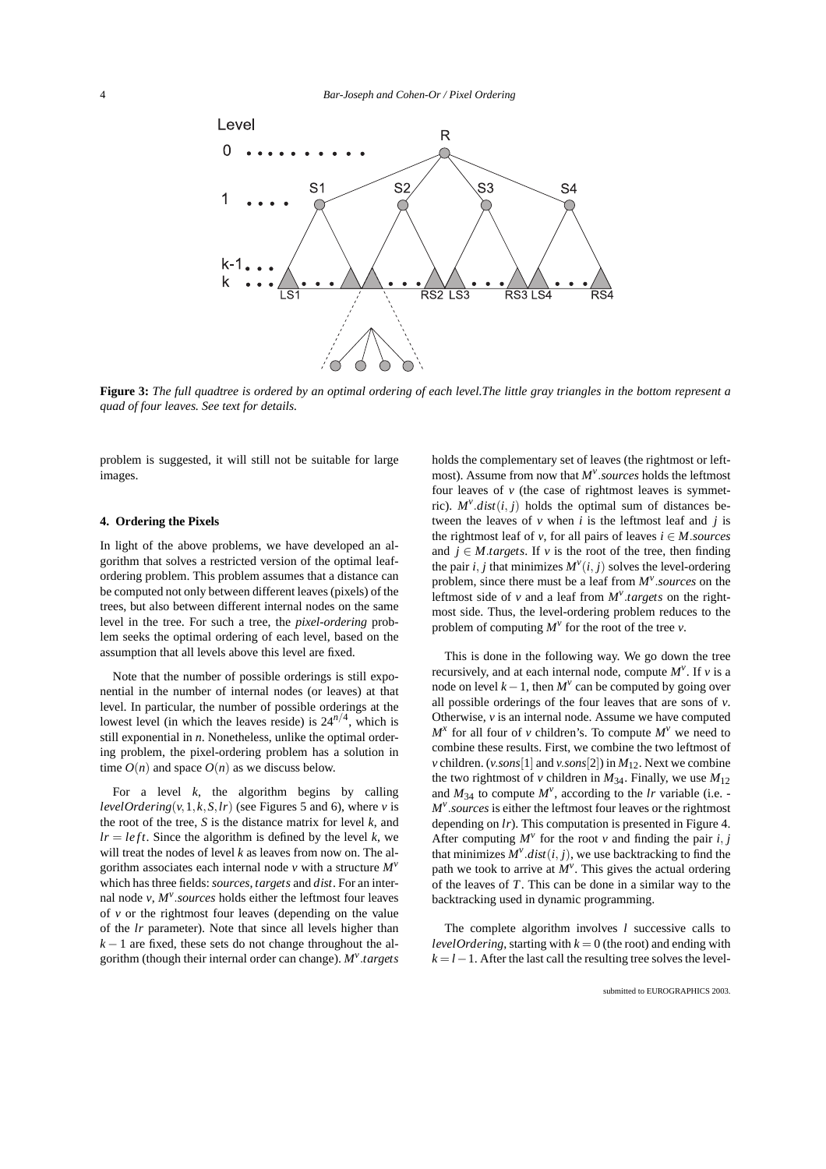

**Figure 3:** *The full quadtree is ordered by an optimal ordering of each level.The little gray triangles in the bottom represent a quad of four leaves. See text for details.*

problem is suggested, it will still not be suitable for large images.

## **4. Ordering the Pixels**

In light of the above problems, we have developed an algorithm that solves a restricted version of the optimal leafordering problem. This problem assumes that a distance can be computed not only between different leaves (pixels) of the trees, but also between different internal nodes on the same level in the tree. For such a tree, the *pixel-ordering* problem seeks the optimal ordering of each level, based on the assumption that all levels above this level are fixed.

Note that the number of possible orderings is still exponential in the number of internal nodes (or leaves) at that level. In particular, the number of possible orderings at the lowest level (in which the leaves reside) is  $24^{n/4}$ , which is still exponential in *n*. Nonetheless, unlike the optimal ordering problem, the pixel-ordering problem has a solution in time  $O(n)$  and space  $O(n)$  as we discuss below.

For a level  $k$ , the algorithm begins by calling *levelOrdering*( $v$ , 1,  $k$ ,  $S$ ,  $lr$ ) (see Figures 5 and 6), where  $v$  is the root of the tree, *S* is the distance matrix for level *k*, and  $l = left$ . Since the algorithm is defined by the level *k*, we will treat the nodes of level *k* as leaves from now on. The algorithm associates each internal node *v* with a structure *M<sup>v</sup>* which has three fields: *sources*, *targets* and *dist*. For an internal node  $v$ ,  $M^v$ .*sources* holds either the leftmost four leaves of *v* or the rightmost four leaves (depending on the value of the *lr* parameter). Note that since all levels higher than *k* − 1 are fixed, these sets do not change throughout the algorithm (though their internal order can change). *M<sup>v</sup> .targets*

holds the complementary set of leaves (the rightmost or leftmost). Assume from now that *M<sup>v</sup> .sources* holds the leftmost four leaves of  $\nu$  (the case of rightmost leaves is symmetric).  $M^{\nu}$  *dist*(*i*, *j*) holds the optimal sum of distances between the leaves of  $\nu$  when  $i$  is the leftmost leaf and  $j$  is the rightmost leaf of *v*, for all pairs of leaves  $i \in M$ *.sources* and  $j \in M$ *.targets*. If v is the root of the tree, then finding the pair *i*, *j* that minimizes  $M^{\nu}(i, j)$  solves the level-ordering problem, since there must be a leaf from *M<sup>v</sup> .sources* on the leftmost side of  $\nu$  and a leaf from  $M^{\nu}$ .*targets* on the rightmost side. Thus, the level-ordering problem reduces to the problem of computing  $M^{\nu}$  for the root of the tree  $\nu$ .

This is done in the following way. We go down the tree recursively, and at each internal node, compute  $M^{\nu}$ . If  $\nu$  is a node on level  $k-1$ , then  $M<sup>v</sup>$  can be computed by going over all possible orderings of the four leaves that are sons of *v*. Otherwise, *v* is an internal node. Assume we have computed  $M^x$  for all four of *v* children's. To compute  $M^v$  we need to combine these results. First, we combine the two leftmost of *v* children. (*v.sons*[1] and *v.sons*[2]) in  $M_{12}$ . Next we combine the two rightmost of *v* children in  $M_{34}$ . Finally, we use  $M_{12}$ and  $M_{34}$  to compute  $M^{\nu}$ , according to the *lr* variable (i.e. -*Mv .sources* is either the leftmost four leaves or the rightmost depending on *lr*). This computation is presented in Figure 4. After computing  $M^{\nu}$  for the root  $\nu$  and finding the pair *i*, *j* that minimizes  $M^{\nu}$ .*dist*(*i*, *j*), we use backtracking to find the path we took to arrive at  $M^{\nu}$ . This gives the actual ordering of the leaves of *T*. This can be done in a similar way to the backtracking used in dynamic programming.

The complete algorithm involves *l* successive calls to *levelOrdering*, starting with  $k = 0$  (the root) and ending with  $k = l - 1$ . After the last call the resulting tree solves the level-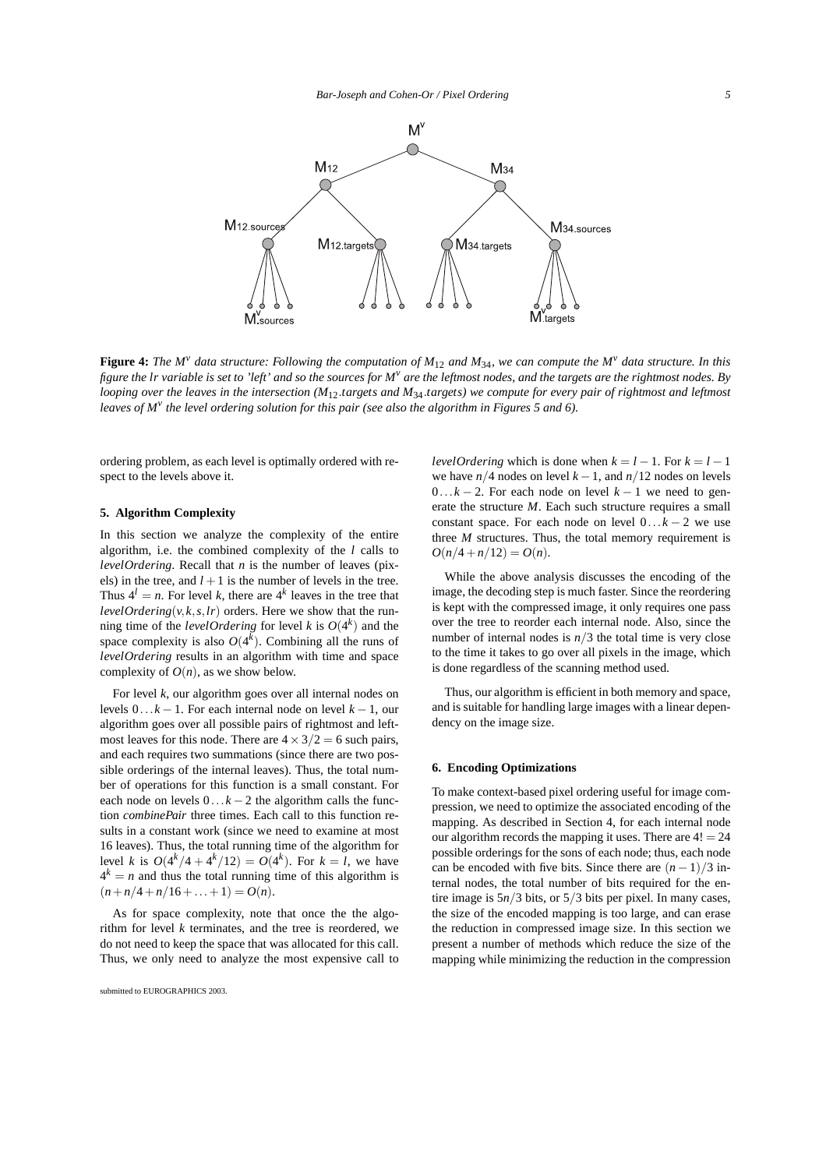

**Figure 4:** The M<sup>*v*</sup> data structure: Following the computation of  $M_{12}$  and  $M_{34}$ , we can compute the M<sup>*v*</sup> data structure. In this *figure the lr variable is set to 'left' and so the sources for M<sup>v</sup> are the leftmost nodes, and the targets are the rightmost nodes. By looping over the leaves in the intersection (M*12*.targets and M*34*.targets) we compute for every pair of rightmost and leftmost leaves of M<sup>v</sup> the level ordering solution for this pair (see also the algorithm in Figures 5 and 6).*

ordering problem, as each level is optimally ordered with respect to the levels above it.

#### **5. Algorithm Complexity**

In this section we analyze the complexity of the entire algorithm, i.e. the combined complexity of the *l* calls to *levelOrdering*. Recall that *n* is the number of leaves (pixels) in the tree, and  $l + 1$  is the number of levels in the tree. Thus  $4^l = n$ . For level *k*, there are  $4^k$  leaves in the tree that *levelOrdering*( $v$ , $k$ , $s$ , $lr$ ) orders. Here we show that the running time of the *levelOrdering* for level *k* is  $O(4^k)$  and the space complexity is also  $O(4^k)$ . Combining all the runs of *levelOrdering* results in an algorithm with time and space complexity of  $O(n)$ , as we show below.

For level *k*, our algorithm goes over all internal nodes on levels  $0 \dots k - 1$ . For each internal node on level  $k - 1$ , our algorithm goes over all possible pairs of rightmost and leftmost leaves for this node. There are  $4 \times 3/2 = 6$  such pairs, and each requires two summations (since there are two possible orderings of the internal leaves). Thus, the total number of operations for this function is a small constant. For each node on levels  $0...k-2$  the algorithm calls the function *combinePair* three times. Each call to this function results in a constant work (since we need to examine at most 16 leaves). Thus, the total running time of the algorithm for level *k* is  $O(4^k/4 + 4^k/12) = O(4^k)$ . For  $k = l$ , we have  $4^k = n$  and thus the total running time of this algorithm is  $(n+n/4+n/16+\ldots+1) = O(n).$ 

As for space complexity, note that once the the algorithm for level *k* terminates, and the tree is reordered, we do not need to keep the space that was allocated for this call. Thus, we only need to analyze the most expensive call to *levelOrdering* which is done when  $k = l - 1$ . For  $k = l - 1$ we have  $n/4$  nodes on level  $k - 1$ , and  $n/12$  nodes on levels  $0...k-2$ . For each node on level  $k-1$  we need to generate the structure *M*. Each such structure requires a small constant space. For each node on level  $0...k-2$  we use three *M* structures. Thus, the total memory requirement is  $O(n/4 + n/12) = O(n)$ .

While the above analysis discusses the encoding of the image, the decoding step is much faster. Since the reordering is kept with the compressed image, it only requires one pass over the tree to reorder each internal node. Also, since the number of internal nodes is  $n/3$  the total time is very close to the time it takes to go over all pixels in the image, which is done regardless of the scanning method used.

Thus, our algorithm is efficient in both memory and space, and is suitable for handling large images with a linear dependency on the image size.

## **6. Encoding Optimizations**

To make context-based pixel ordering useful for image compression, we need to optimize the associated encoding of the mapping. As described in Section 4, for each internal node our algorithm records the mapping it uses. There are  $4! = 24$ possible orderings for the sons of each node; thus, each node can be encoded with five bits. Since there are  $(n-1)/3$  internal nodes, the total number of bits required for the entire image is 5*n/*3 bits, or 5*/*3 bits per pixel. In many cases, the size of the encoded mapping is too large, and can erase the reduction in compressed image size. In this section we present a number of methods which reduce the size of the mapping while minimizing the reduction in the compression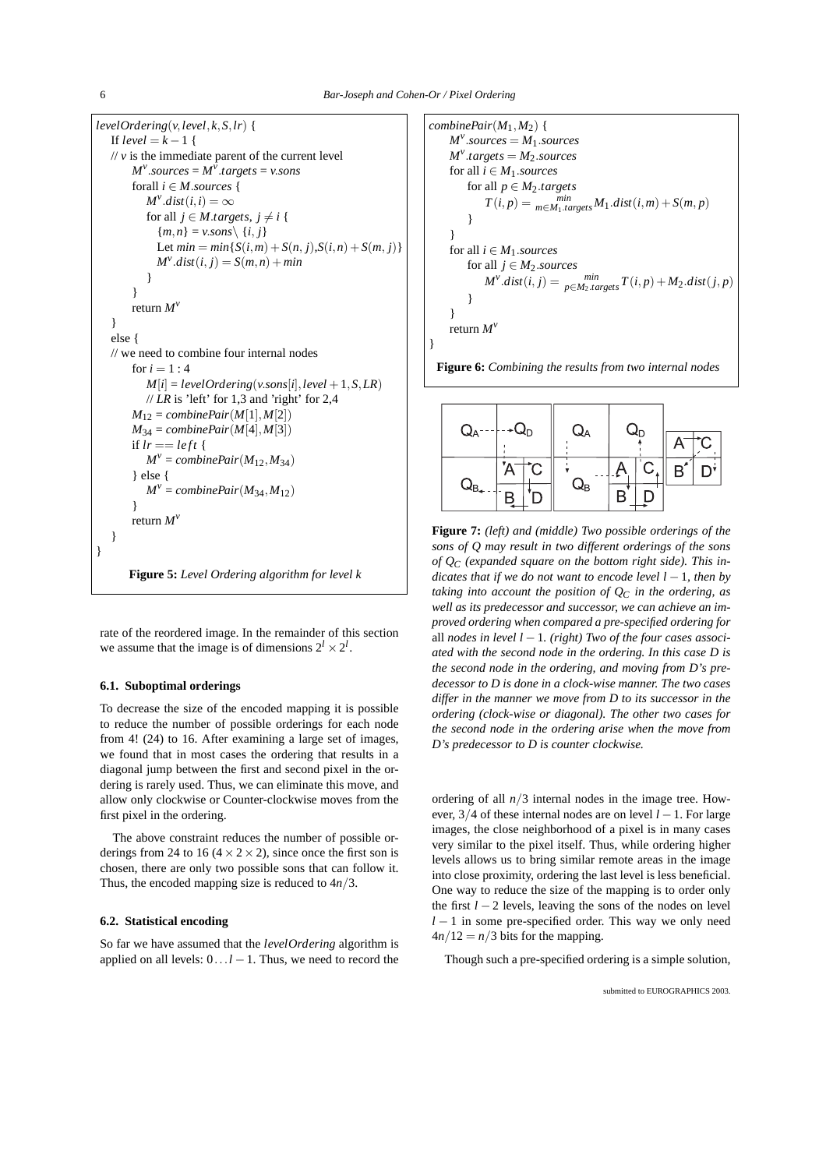```
levelOrdering(v, level, k, S, lr) {
   If level = k - 1 {
   \frac{1}{v} v is the immediate parent of the current level
        M^{\nu}.sources = M^{\bar{\nu}}.targets = v.sons
       forall i \in M.sources {
           M^{\nu}.dist(i, i) = \inftyfor all j \in M.targets, j \neq i {
             {m,n} = v.sons {i,j}Let min = min\{S(i, m) + S(n, j), S(i, n) + S(m, j)\}M^{\nu}.dist(i, j) = S(m,n) + min
           }
        }
       return Mv
   }
   else {
   // we need to combine four internal nodes
       for i = 1:4M[i] = levelOrdering(v.sons[i], level + 1, S, LR)// LR is 'left' for 1,3 and 'right' for 2,4
       M_{12} = combinePair(M[1], M[2])M_{34} = combinePair(M[4], M[3])if lr == left {
           M^{\nu} = combinePair(M_{12}, M_{34})} else {
           M^{\nu} = combinePair(M_{34}, M_{12})}
       return Mv
   }
}
       Figure 5: Level Ordering algorithm for level k
```
rate of the reordered image. In the remainder of this section we assume that the image is of dimensions  $2^l \times 2^l$ .

# **6.1. Suboptimal orderings**

To decrease the size of the encoded mapping it is possible to reduce the number of possible orderings for each node from 4! (24) to 16. After examining a large set of images, we found that in most cases the ordering that results in a diagonal jump between the first and second pixel in the ordering is rarely used. Thus, we can eliminate this move, and allow only clockwise or Counter-clockwise moves from the first pixel in the ordering.

The above constraint reduces the number of possible orderings from 24 to 16 ( $4 \times 2 \times 2$ ), since once the first son is chosen, there are only two possible sons that can follow it. Thus, the encoded mapping size is reduced to 4*n/*3.

# **6.2. Statistical encoding**

So far we have assumed that the *levelOrdering* algorithm is applied on all levels:  $0 \ldots l-1$ . Thus, we need to record the

```
combiner{Pair}(M_1, M_2) {
     M^v.sources = M_1.sources
     M^v<sub>targets = M_2.sources</sub>
     for all i \in M_1.sources
          for all p \in M_2targets
               T(i, p) = \min_{m \in M_1. targets} M_1.dist(i, m) + S(m, p)}
     }
     for all i \in M_1.sources
          for all j \in M_2.sources
               M^{\nu}.dist(i, j) = \lim_{p \in M_2 \text{.} t$ \text{argets}} T(i, p) + M_2 \text{.} dist(j, p)}
     }
     return Mv
}
```




**Figure 7:** *(left) and (middle) Two possible orderings of the sons of Q may result in two different orderings of the sons of QC (expanded square on the bottom right side). This indicates that if we do not want to encode level l* −1*, then by taking into account the position of*  $Q_C$  *in the ordering, as well as its predecessor and successor, we can achieve an improved ordering when compared a pre-specified ordering for* all *nodes in level l* −1*. (right) Two of the four cases associated with the second node in the ordering. In this case D is the second node in the ordering, and moving from D's predecessor to D is done in a clock-wise manner. The two cases differ in the manner we move from D to its successor in the ordering (clock-wise or diagonal). The other two cases for the second node in the ordering arise when the move from D's predecessor to D is counter clockwise.*

ordering of all  $n/3$  internal nodes in the image tree. However, 3*/*4 of these internal nodes are on level *l* −1. For large images, the close neighborhood of a pixel is in many cases very similar to the pixel itself. Thus, while ordering higher levels allows us to bring similar remote areas in the image into close proximity, ordering the last level is less beneficial. One way to reduce the size of the mapping is to order only the first *l* − 2 levels, leaving the sons of the nodes on level *l* − 1 in some pre-specified order. This way we only need  $4n/12 = n/3$  bits for the mapping.

Though such a pre-specified ordering is a simple solution,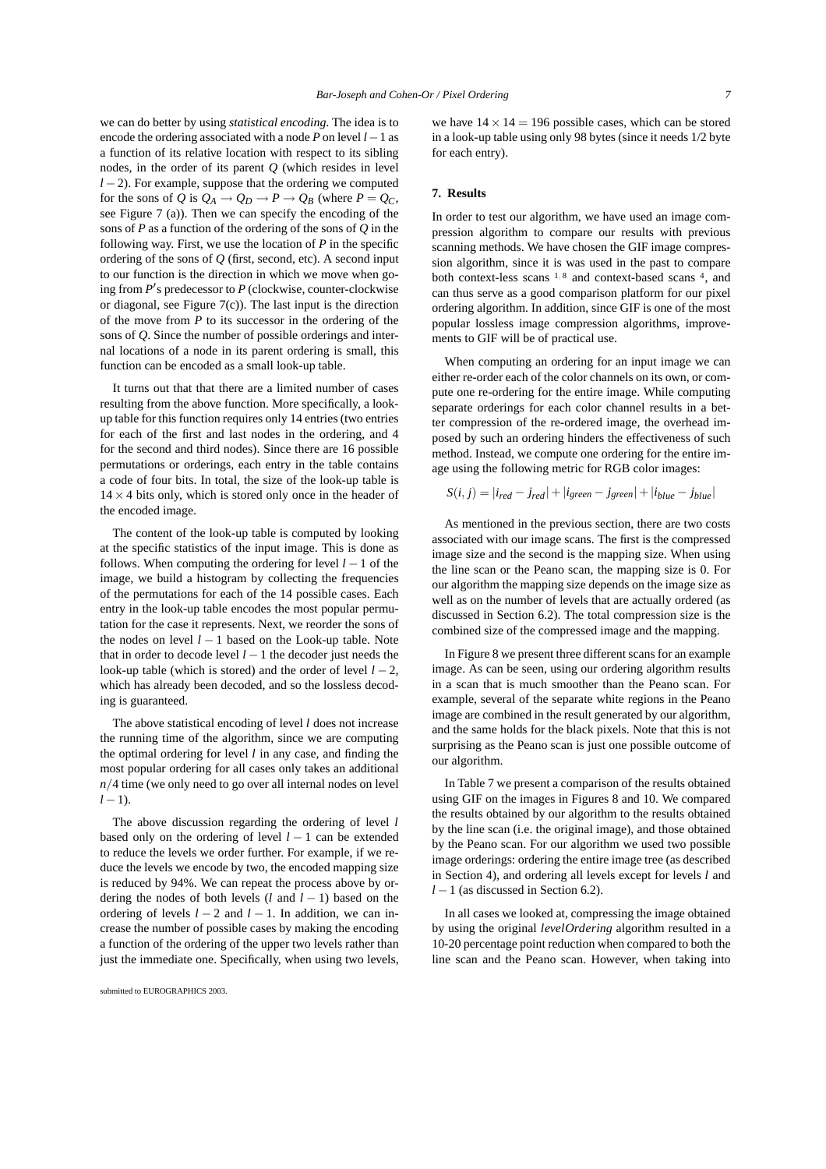we can do better by using *statistical encoding*. The idea is to encode the ordering associated with a node *P* on level *l*−1 as a function of its relative location with respect to its sibling nodes, in the order of its parent *Q* (which resides in level *l* − 2). For example, suppose that the ordering we computed for the sons of *Q* is  $Q_A \rightarrow Q_D \rightarrow P \rightarrow Q_B$  (where  $P = Q_C$ , see Figure 7 (a)). Then we can specify the encoding of the sons of *P* as a function of the ordering of the sons of *Q* in the following way. First, we use the location of *P* in the specific ordering of the sons of *Q* (first, second, etc). A second input to our function is the direction in which we move when going from *P* s predecessor to *P* (clockwise, counter-clockwise or diagonal, see Figure 7(c)). The last input is the direction of the move from *P* to its successor in the ordering of the sons of *Q*. Since the number of possible orderings and internal locations of a node in its parent ordering is small, this function can be encoded as a small look-up table.

It turns out that that there are a limited number of cases resulting from the above function. More specifically, a lookup table for this function requires only 14 entries (two entries for each of the first and last nodes in the ordering, and 4 for the second and third nodes). Since there are 16 possible permutations or orderings, each entry in the table contains a code of four bits. In total, the size of the look-up table is  $14 \times 4$  bits only, which is stored only once in the header of the encoded image.

The content of the look-up table is computed by looking at the specific statistics of the input image. This is done as follows. When computing the ordering for level *l* −1 of the image, we build a histogram by collecting the frequencies of the permutations for each of the 14 possible cases. Each entry in the look-up table encodes the most popular permutation for the case it represents. Next, we reorder the sons of the nodes on level *l* − 1 based on the Look-up table. Note that in order to decode level  $l-1$  the decoder just needs the look-up table (which is stored) and the order of level *l* − 2, which has already been decoded, and so the lossless decoding is guaranteed.

The above statistical encoding of level *l* does not increase the running time of the algorithm, since we are computing the optimal ordering for level *l* in any case, and finding the most popular ordering for all cases only takes an additional *n/*4 time (we only need to go over all internal nodes on level  $l-1$ ).

The above discussion regarding the ordering of level *l* based only on the ordering of level *l* − 1 can be extended to reduce the levels we order further. For example, if we reduce the levels we encode by two, the encoded mapping size is reduced by 94%. We can repeat the process above by ordering the nodes of both levels (*l* and *l* − 1) based on the ordering of levels  $l - 2$  and  $l - 1$ . In addition, we can increase the number of possible cases by making the encoding a function of the ordering of the upper two levels rather than just the immediate one. Specifically, when using two levels, we have  $14 \times 14 = 196$  possible cases, which can be stored in a look-up table using only 98 bytes (since it needs 1/2 byte for each entry).

### **7. Results**

In order to test our algorithm, we have used an image compression algorithm to compare our results with previous scanning methods. We have chosen the GIF image compression algorithm, since it is was used in the past to compare both context-less scans <sup>1</sup>*,* <sup>8</sup> and context-based scans 4, and can thus serve as a good comparison platform for our pixel ordering algorithm. In addition, since GIF is one of the most popular lossless image compression algorithms, improvements to GIF will be of practical use.

When computing an ordering for an input image we can either re-order each of the color channels on its own, or compute one re-ordering for the entire image. While computing separate orderings for each color channel results in a better compression of the re-ordered image, the overhead imposed by such an ordering hinders the effectiveness of such method. Instead, we compute one ordering for the entire image using the following metric for RGB color images:

$$
S(i, j) = |i_{red} - j_{red}| + |i_{green} - j_{green}| + |i_{blue} - j_{blue}|
$$

As mentioned in the previous section, there are two costs associated with our image scans. The first is the compressed image size and the second is the mapping size. When using the line scan or the Peano scan, the mapping size is 0. For our algorithm the mapping size depends on the image size as well as on the number of levels that are actually ordered (as discussed in Section 6.2). The total compression size is the combined size of the compressed image and the mapping.

In Figure 8 we present three different scans for an example image. As can be seen, using our ordering algorithm results in a scan that is much smoother than the Peano scan. For example, several of the separate white regions in the Peano image are combined in the result generated by our algorithm, and the same holds for the black pixels. Note that this is not surprising as the Peano scan is just one possible outcome of our algorithm.

In Table 7 we present a comparison of the results obtained using GIF on the images in Figures 8 and 10. We compared the results obtained by our algorithm to the results obtained by the line scan (i.e. the original image), and those obtained by the Peano scan. For our algorithm we used two possible image orderings: ordering the entire image tree (as described in Section 4), and ordering all levels except for levels *l* and *l* − 1 (as discussed in Section 6.2).

In all cases we looked at, compressing the image obtained by using the original *levelOrdering* algorithm resulted in a 10-20 percentage point reduction when compared to both the line scan and the Peano scan. However, when taking into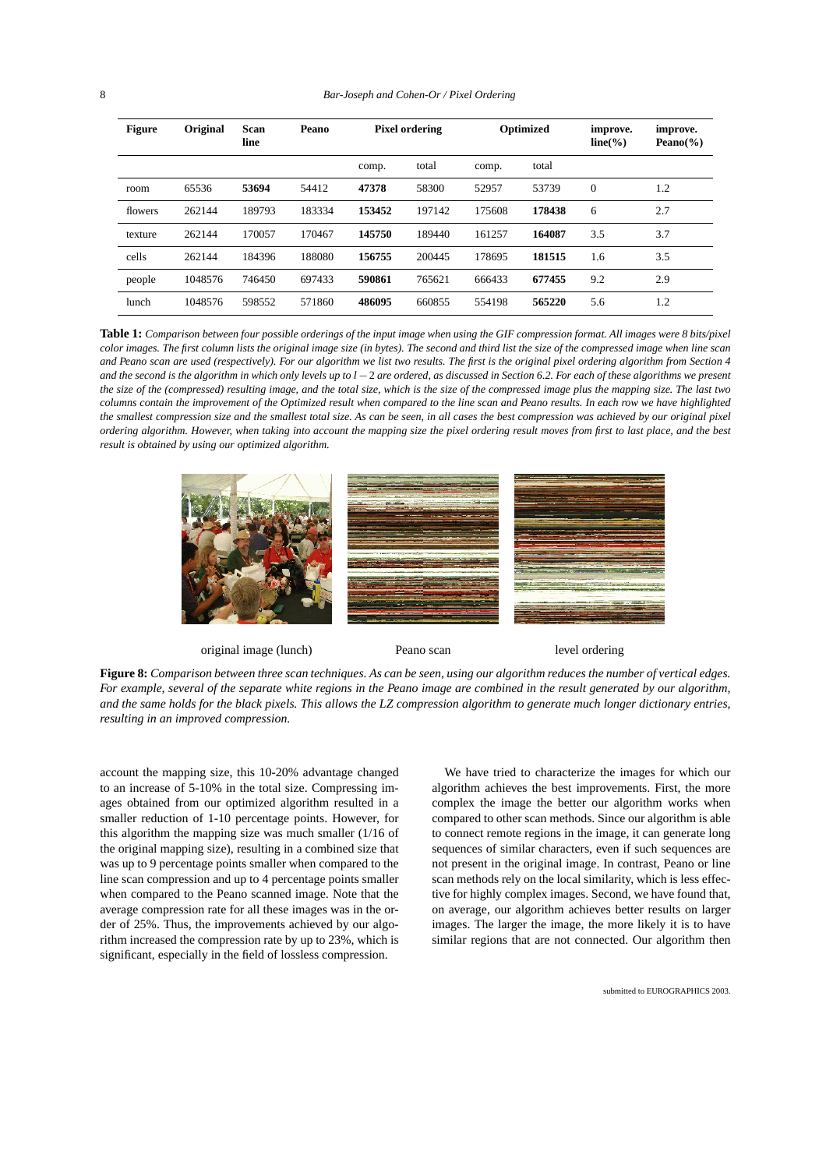| <b>Figure</b> | Original | Scan<br>line | <b>Peano</b> | <b>Pixel ordering</b> |        | Optimized |        | improve.<br>$line(\%)$ | improve.<br>Peano $(\% )$ |
|---------------|----------|--------------|--------------|-----------------------|--------|-----------|--------|------------------------|---------------------------|
|               |          |              |              | comp.                 | total  | comp.     | total  |                        |                           |
| room          | 65536    | 53694        | 54412        | 47378                 | 58300  | 52957     | 53739  | $\theta$               | 1.2                       |
| flowers       | 262144   | 189793       | 183334       | 153452                | 197142 | 175608    | 178438 | 6                      | 2.7                       |
| texture       | 262144   | 170057       | 170467       | 145750                | 189440 | 161257    | 164087 | 3.5                    | 3.7                       |
| cells         | 262144   | 184396       | 188080       | 156755                | 200445 | 178695    | 181515 | 1.6                    | 3.5                       |
| people        | 1048576  | 746450       | 697433       | 590861                | 765621 | 666433    | 677455 | 9.2                    | 2.9                       |
| lunch         | 1048576  | 598552       | 571860       | 486095                | 660855 | 554198    | 565220 | 5.6                    | 1.2                       |

**Table 1:** *Comparison between four possible orderings of the input image when using the GIF compression format. All images were 8 bits/pixel color images. The first column lists the original image size (in bytes). The second and third list the size of the compressed image when line scan and Peano scan are used (respectively). For our algorithm we list two results. The first is the original pixel ordering algorithm from Section 4 and the second is the algorithm in which only levels up to l −*2 *are ordered, as discussed in Section 6.2. For each of these algorithms we present the size of the (compressed) resulting image, and the total size, which is the size of the compressed image plus the mapping size. The last two columns contain the improvement of the Optimized result when compared to the line scan and Peano results. In each row we have highlighted the smallest compression size and the smallest total size. As can be seen, in all cases the best compression was achieved by our original pixel ordering algorithm. However, when taking into account the mapping size the pixel ordering result moves from first to last place, and the best result is obtained by using our optimized algorithm.*



original image (lunch) Peano scan level ordering

**Figure 8:** *Comparison between three scan techniques. As can be seen, using our algorithm reduces the number of vertical edges. For example, several of the separate white regions in the Peano image are combined in the result generated by our algorithm, and the same holds for the black pixels. This allows the LZ compression algorithm to generate much longer dictionary entries, resulting in an improved compression.*

account the mapping size, this 10-20% advantage changed to an increase of 5-10% in the total size. Compressing images obtained from our optimized algorithm resulted in a smaller reduction of 1-10 percentage points. However, for this algorithm the mapping size was much smaller (1/16 of the original mapping size), resulting in a combined size that was up to 9 percentage points smaller when compared to the line scan compression and up to 4 percentage points smaller when compared to the Peano scanned image. Note that the average compression rate for all these images was in the order of 25%. Thus, the improvements achieved by our algorithm increased the compression rate by up to 23%, which is significant, especially in the field of lossless compression.

We have tried to characterize the images for which our algorithm achieves the best improvements. First, the more complex the image the better our algorithm works when compared to other scan methods. Since our algorithm is able to connect remote regions in the image, it can generate long sequences of similar characters, even if such sequences are not present in the original image. In contrast, Peano or line scan methods rely on the local similarity, which is less effective for highly complex images. Second, we have found that, on average, our algorithm achieves better results on larger images. The larger the image, the more likely it is to have similar regions that are not connected. Our algorithm then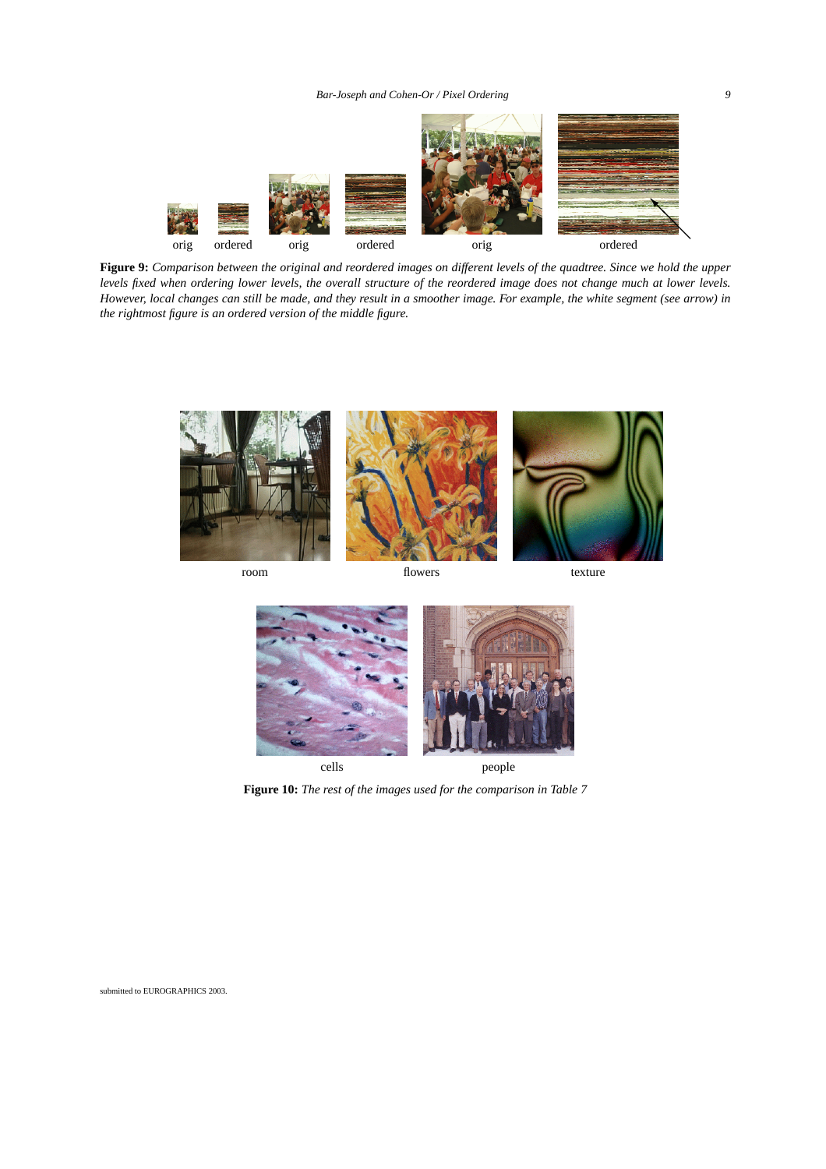*Bar-Joseph and Cohen-Or / Pixel Ordering 9*



**Figure 9:** *Comparison between the original and reordered images on different levels of the quadtree. Since we hold the upper levels fixed when ordering lower levels, the overall structure of the reordered image does not change much at lower levels. However, local changes can still be made, and they result in a smoother image. For example, the white segment (see arrow) in the rightmost figure is an ordered version of the middle figure.*







**Figure 10:** *The rest of the images used for the comparison in Table 7*

submitted to EUROGRAPHICS 2003.